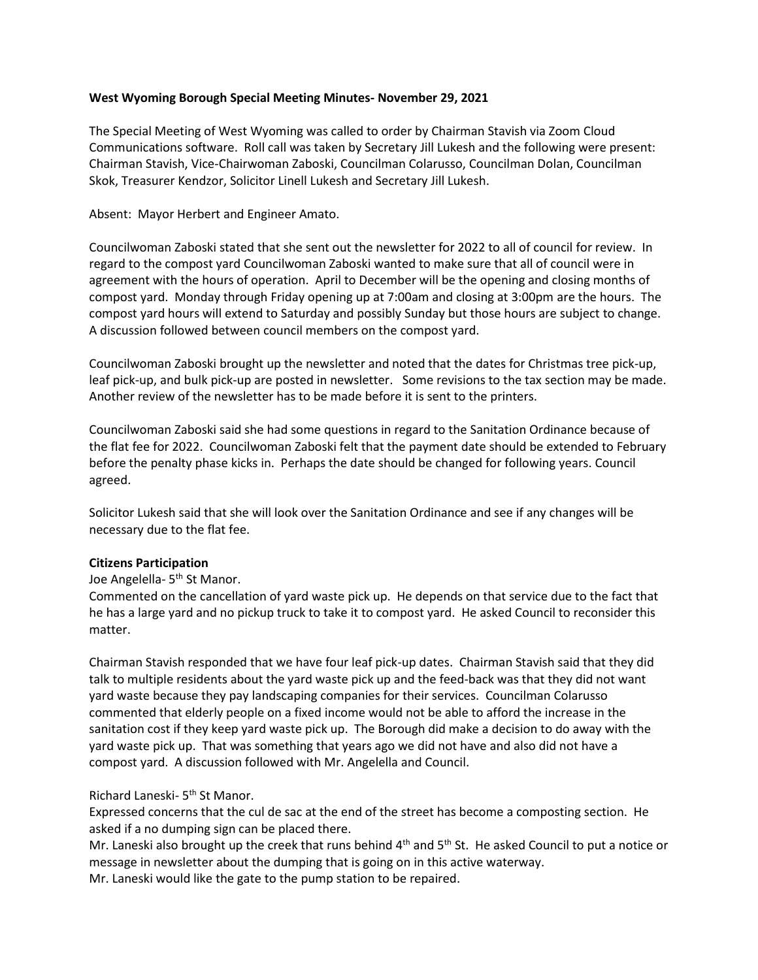## **West Wyoming Borough Special Meeting Minutes- November 29, 2021**

The Special Meeting of West Wyoming was called to order by Chairman Stavish via Zoom Cloud Communications software. Roll call was taken by Secretary Jill Lukesh and the following were present: Chairman Stavish, Vice-Chairwoman Zaboski, Councilman Colarusso, Councilman Dolan, Councilman Skok, Treasurer Kendzor, Solicitor Linell Lukesh and Secretary Jill Lukesh.

Absent: Mayor Herbert and Engineer Amato.

Councilwoman Zaboski stated that she sent out the newsletter for 2022 to all of council for review. In regard to the compost yard Councilwoman Zaboski wanted to make sure that all of council were in agreement with the hours of operation. April to December will be the opening and closing months of compost yard. Monday through Friday opening up at 7:00am and closing at 3:00pm are the hours. The compost yard hours will extend to Saturday and possibly Sunday but those hours are subject to change. A discussion followed between council members on the compost yard.

Councilwoman Zaboski brought up the newsletter and noted that the dates for Christmas tree pick-up, leaf pick-up, and bulk pick-up are posted in newsletter. Some revisions to the tax section may be made. Another review of the newsletter has to be made before it is sent to the printers.

Councilwoman Zaboski said she had some questions in regard to the Sanitation Ordinance because of the flat fee for 2022. Councilwoman Zaboski felt that the payment date should be extended to February before the penalty phase kicks in. Perhaps the date should be changed for following years. Council agreed.

Solicitor Lukesh said that she will look over the Sanitation Ordinance and see if any changes will be necessary due to the flat fee.

## **Citizens Participation**

Joe Angelella- 5<sup>th</sup> St Manor.

Commented on the cancellation of yard waste pick up. He depends on that service due to the fact that he has a large yard and no pickup truck to take it to compost yard. He asked Council to reconsider this matter.

Chairman Stavish responded that we have four leaf pick-up dates. Chairman Stavish said that they did talk to multiple residents about the yard waste pick up and the feed-back was that they did not want yard waste because they pay landscaping companies for their services. Councilman Colarusso commented that elderly people on a fixed income would not be able to afford the increase in the sanitation cost if they keep yard waste pick up. The Borough did make a decision to do away with the yard waste pick up. That was something that years ago we did not have and also did not have a compost yard. A discussion followed with Mr. Angelella and Council.

## Richard Laneski- 5<sup>th</sup> St Manor.

Expressed concerns that the cul de sac at the end of the street has become a composting section. He asked if a no dumping sign can be placed there.

Mr. Laneski also brought up the creek that runs behind 4<sup>th</sup> and 5<sup>th</sup> St. He asked Council to put a notice or message in newsletter about the dumping that is going on in this active waterway. Mr. Laneski would like the gate to the pump station to be repaired.